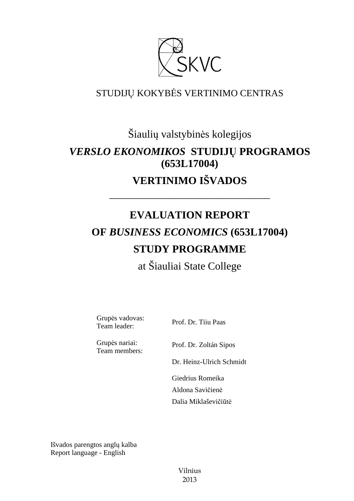

# STUDIJŲ KOKYBĖS VERTINIMO CENTRAS

# Šiaulių valstybinės kolegijos *VERSLO EKONOMIKOS* **STUDIJŲ PROGRAMOS (653L17004) VERTINIMO IŠVADOS**

# **EVALUATION REPORT OF** *BUSINESS ECONOMICS* **(653L17004) STUDY PROGRAMME**

––––––––––––––––––––––––––––––

at Šiauliai State College

Grupės vadovas: Team leader: Prof. Dr. Tiiu Paas

Grupės nariai: Team members:

Prof. Dr. Zoltán Sipos

Dr. Heinz-Ulrich Schmidt

 Giedrius Romeika Aldona Savičienė Dalia Miklaševičiūtė

Išvados parengtos anglų kalba Report language - English

> Vilnius 2013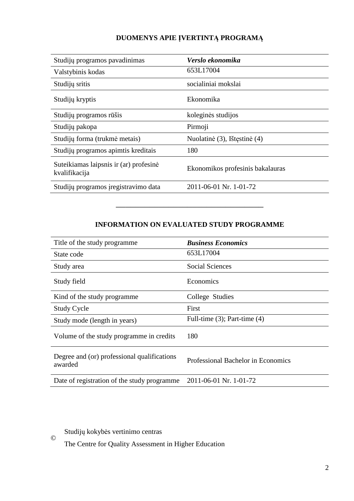## **DUOMENYS APIE ĮVERTINTĄ PROGRAMĄ**

| Studijų programos pavadinimas                           | Verslo ekonomika                 |
|---------------------------------------------------------|----------------------------------|
| Valstybinis kodas                                       | 653L17004                        |
| Studijų sritis                                          | socialiniai mokslai              |
| Studijų kryptis                                         | Ekonomika                        |
| Studijų programos rūšis                                 | koleginės studijos               |
| Studijų pakopa                                          | Pirmoji                          |
| Studijų forma (trukmė metais)                           | Nuolatinė (3), Ištęstinė (4)     |
| Studijų programos apimtis kreditais                     | 180                              |
| Suteikiamas laipsnis ir (ar) profesinė<br>kvalifikacija | Ekonomikos profesinis bakalauras |
| Studijų programos įregistravimo data                    | 2011-06-01 Nr. 1-01-72           |

## **INFORMATION ON EVALUATED STUDY PROGRAMME**

–––––––––––––––––––––––––––––––

| Title of the study programme.                          | <b>Business Economics</b>          |
|--------------------------------------------------------|------------------------------------|
| State code                                             | 653L17004                          |
| Study area                                             | Social Sciences                    |
| Study field                                            | Economics                          |
| Kind of the study programme.                           | College Studies                    |
| <b>Study Cycle</b>                                     | First                              |
| Study mode (length in years)                           | Full-time $(3)$ ; Part-time $(4)$  |
| Volume of the study programme in credits               | 180                                |
| Degree and (or) professional qualifications<br>awarded | Professional Bachelor in Economics |
| Date of registration of the study programme            | 2011-06-01 Nr. 1-01-72             |

Studijų kokybės vertinimo centras ©

The Centre for Quality Assessment in Higher Education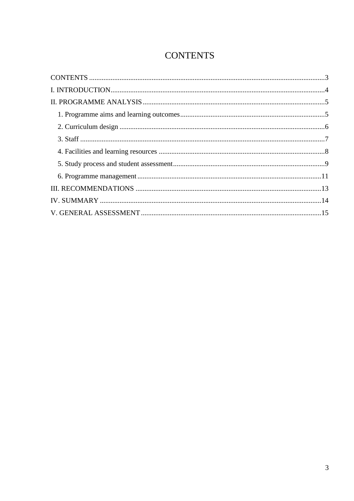# **CONTENTS**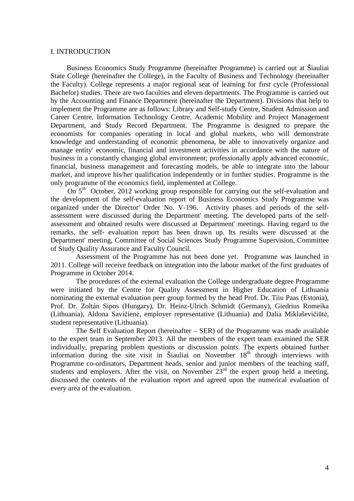#### I. INTRODUCTION

 Business Economics Study Programme (hereinafter Programme) is carried out at Šiauliai State College (hereinafter the College), in the Faculty of Business and Technology (hereinafter the Faculty). College represents a major regional seat of learning for first cycle (Professional Bachelor) studies. There are two faculties and eleven departments. The Programme is carried out by the Accounting and Finance Department (hereinafter the Department). Divisions that help to implement the Programme are as follows: Library and Self-study Centre, Student Admission and Career Centre, Information Technology Centre, Academic Mobility and Project Management Department, and Study Record Department. The Programme is designed to prepare the economists for companies operating in local and global markets, who will demonstrate knowledge and understanding of economic phenomena, be able to innovatively organize and manage entity' economic, financial and investment activities in accordance with the nature of business in a constantly changing global environment; professionally apply advanced economic, financial, business management and forecasting models, be able to integrate into the labour market, and improve his/her qualification independently or in further studies. Programme is the only programme of the economics field, implemented at College.

On  $5<sup>th</sup>$  October, 2012 working group responsible for carrying out the self-evaluation and the development of the self-evaluation report of Business Economics Study Programme was organized under the Director' Order No. V-196. Activity phases and periods of the selfassessment were discussed during the Department' meeting. The developed parts of the selfassessment and obtained results were discussed at Department' meetings. Having regard to the remarks, the self- evaluation report has been drawn up. Its results were discussed at the Department' meeting, Committee of Social Sciences Study Programme Supervision, Committee of Study Quality Assurance and Faculty Council.

Assessment of the Programme has not been done yet. Programme was launched in 2011. College will receive feedback on integration into the labour market of the first graduates of Programme in October 2014.

The procedures of the external evaluation the College undergraduate degree Programme were initiated by the Centre for Quality Assessment in Higher Education of Lithuania nominating the external evaluation peer group formed by the head Prof. Dr. Tiiu Paas (Estonia), Prof. Dr. Zoltán Sipos (Hungary), Dr. Heinz-Ulrich Schmidt (Germany), Giedrius Romeika (Lithuania), Aldona Savičienė, employer representative (Lithuania) and Dalia Miklaševičiūtė, student representative (Lithuania).

The Self Evaluation Report (hereinafter – SER) of the Programme was made available to the expert team in September 2013. All the members of the expert team examined the SER individually, preparing problem questions or discussion points. The experts obtained further information during the site visit in Šiauliai on November  $18<sup>th</sup>$  through interviews with Programme co-ordinators, Department heads, senior and junior members of the teaching staff, students and employers. After the visit, on November  $23<sup>rd</sup>$  the expert group held a meeting, discussed the contents of the evaluation report and agreed upon the numerical evaluation of every area of the evaluation.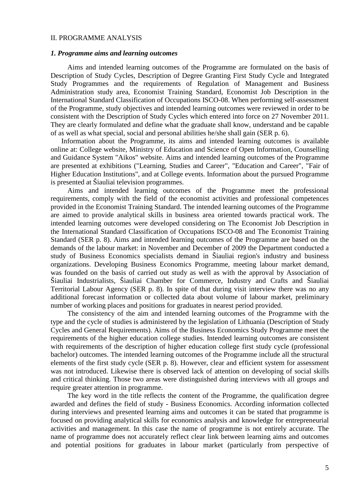#### II. PROGRAMME ANALYSIS

#### *1. Programme aims and learning outcomes*

Aims and intended learning outcomes of the Programme are formulated on the basis of Description of Study Cycles, Description of Degree Granting First Study Cycle and Integrated Study Programmes and the requirements of Regulation of Management and Business Administration study area, Economist Training Standard, Economist Job Description in the International Standard Classification of Occupations ISCO-08. When performing self-assessment of the Programme, study objectives and intended learning outcomes were reviewed in order to be consistent with the Description of Study Cycles which entered into force on 27 November 2011. They are clearly formulated and define what the graduate shall know, understand and be capable of as well as what special, social and personal abilities he/she shall gain (SER p. 6).

Information about the Programme, its aims and intended learning outcomes is available online at: College website, Ministry of Education and Science of Open Information, Counselling and Guidance System "Aikos" website. Aims and intended learning outcomes of the Programme are presented at exhibitions ("Learning, Studies and Career", "Education and Career", "Fair of Higher Education Institutions", and at College events. Information about the pursued Programme is presented at Šiauliai television programmes.

Aims and intended learning outcomes of the Programme meet the professional requirements, comply with the field of the economist activities and professional competences provided in the Economist Training Standard. The intended learning outcomes of the Programme are aimed to provide analytical skills in business area oriented towards practical work. The intended learning outcomes were developed considering on The Economist Job Description in the International Standard Classification of Occupations ISCO-08 and The Economist Training Standard (SER p. 8). Aims and intended learning outcomes of the Programme are based on the demands of the labour market: in November and December of 2009 the Department conducted a study of Business Economics specialists demand in Šiauliai region's industry and business organizations. Developing Business Economics Programme, meeting labour market demand, was founded on the basis of carried out study as well as with the approval by Association of Šiauliai Industrialists, Šiauliai Chamber for Commerce, Industry and Crafts and Šiauliai Territorial Labour Agency (SER p. 8). In spite of that during visit interview there was no any additional forecast information or collected data about volume of labour market, preliminary number of working places and positions for graduates in nearest period provided.

The consistency of the aim and intended learning outcomes of the Programme with the type and the cycle of studies is administered by the legislation of Lithuania (Description of Study Cycles and General Requirements). Aims of the Business Economics Study Programme meet the requirements of the higher education college studies. Intended learning outcomes are consistent with requirements of the description of higher education college first study cycle (professional bachelor) outcomes. The intended learning outcomes of the Programme include all the structural elements of the first study cycle (SER p. 8). However, clear and efficient system for assessment was not introduced. Likewise there is observed lack of attention on developing of social skills and critical thinking. Those two areas were distinguished during interviews with all groups and require greater attention in programme.

The key word in the title reflects the content of the Programme, the qualification degree awarded and defines the field of study - Business Economics. According information collected during interviews and presented learning aims and outcomes it can be stated that programme is focused on providing analytical skills for economics analysis and knowledge for entrepreneurial activities and management. In this case the name of programme is not entirely accurate. The name of programme does not accurately reflect clear link between learning aims and outcomes and potential positions for graduates in labour market (particularly from perspective of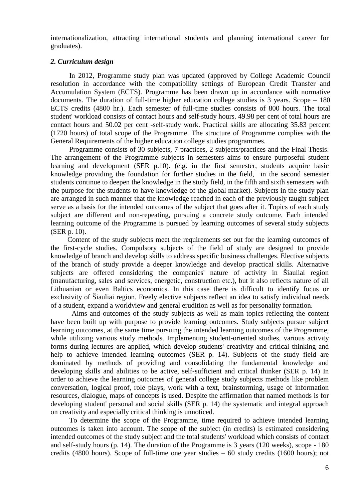internationalization, attracting international students and planning international career for graduates).

#### *2. Curriculum design*

In 2012, Programme study plan was updated (approved by College Academic Council resolution in accordance with the compatibility settings of European Credit Transfer and Accumulation System (ECTS). Programme has been drawn up in accordance with normative documents. The duration of full-time higher education college studies is 3 years. Scope – 180 ECTS credits (4800 hr.). Each semester of full-time studies consists of 800 hours. The total student' workload consists of contact hours and self-study hours. 49.98 per cent of total hours are contact hours and 50.02 per cent -self-study work. Practical skills are allocating 35.83 percent (1720 hours) of total scope of the Programme. The structure of Programme complies with the General Requirements of the higher education college studies programmes.

 Programme consists of 30 subjects, 7 practices, 2 subjects/practices and the Final Thesis. The arrangement of the Programme subjects in semesters aims to ensure purposeful student learning and development (SER p.10). (e.g. in the first semester, students acquire basic knowledge providing the foundation for further studies in the field, in the second semester students continue to deepen the knowledge in the study field, in the fifth and sixth semesters with the purpose for the students to have knowledge of the global market). Subjects in the study plan are arranged in such manner that the knowledge reached in each of the previously taught subject serve as a basis for the intended outcomes of the subject that goes after it. Topics of each study subject are different and non-repeating, pursuing a concrete study outcome. Each intended learning outcome of the Programme is pursued by learning outcomes of several study subjects (SER p. 10).

Content of the study subjects meet the requirements set out for the learning outcomes of the first-cycle studies. Compulsory subjects of the field of study are designed to provide knowledge of branch and develop skills to address specific business challenges. Elective subjects of the branch of study provide a deeper knowledge and develop practical skills. Alternative subjects are offered considering the companies' nature of activity in Šiauliai region (manufacturing, sales and services, energetic, construction etc.), but it also reflects nature of all Lithuanian or even Baltics economics. In this case there is difficult to identify focus or exclusivity of Šiauliai region. Freely elective subjects reflect an idea to satisfy individual needs of a student, expand a worldview and general erudition as well as for personality formation.

Aims and outcomes of the study subjects as well as main topics reflecting the content have been built up with purpose to provide learning outcomes. Study subjects pursue subject learning outcomes, at the same time pursuing the intended learning outcomes of the Programme, while utilizing various study methods. Implementing student-oriented studies, various activity forms during lectures are applied, which develop students' creativity and critical thinking and help to achieve intended learning outcomes (SER p. 14). Subjects of the study field are dominated by methods of providing and consolidating the fundamental knowledge and developing skills and abilities to be active, self-sufficient and critical thinker (SER p. 14) In order to achieve the learning outcomes of general college study subjects methods like problem conversation, logical proof, role plays, work with a text, brainstorming, usage of information resources, dialogue, maps of concepts is used. Despite the affirmation that named methods is for developing student' personal and social skills (SER p. 14) the systematic and integral approach on creativity and especially critical thinking is unnoticed.

 To determine the scope of the Programme, time required to achieve intended learning outcomes is taken into account. The scope of the subject (in credits) is estimated considering intended outcomes of the study subject and the total students' workload which consists of contact and self-study hours (p. 14). The duration of the Programme is 3 years (120 weeks), scope - 180 credits (4800 hours). Scope of full-time one year studies – 60 study credits (1600 hours); not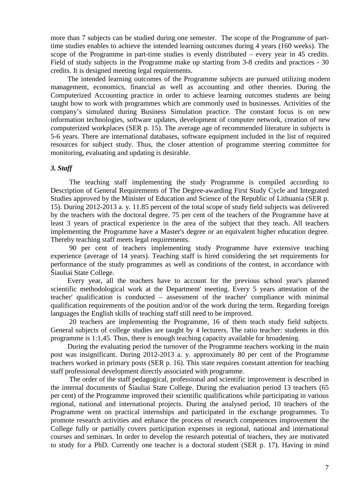more than 7 subjects can be studied during one semester. The scope of the Programme of parttime studies enables to achieve the intended learning outcomes during 4 years (160 weeks). The scope of the Programme in part-time studies is evenly distributed – every year in 45 credits. Field of study subjects in the Programme make up starting from 3-8 credits and practices - 30 credits. It is designed meeting legal requirements.

The intended learning outcomes of the Programme subjects are pursued utilizing modern management, economics, financial as well as accounting and other theories. During the Computerized Accounting practice in order to achieve learning outcomes students are being taught how to work with programmes which are commonly used in businesses. Activities of the company's simulated during Business Simulation practice. The constant focus is on new information technologies, software updates, development of computer network, creation of new computerized workplaces (SER p. 15). The average age of recommended literature in subjects is 5-6 years. There are international databases, software equipment included in the list of required resources for subject study. Thus, the closer attention of programme steering committee for monitoring, evaluating and updating is desirable.

### *3. Staff*

The teaching staff implementing the study Programme is compiled according to Description of General Requirements of The Degree-awarding First Study Cycle and Integrated Studies approved by the Minister of Education and Science of the Republic of Lithuania (SER p. 15). During 2012-2013 a. y. 11.85 percent of the total scope of study field subjects was delivered by the teachers with the doctoral degree. 75 per cent of the teachers of the Programme have at least 3 years of practical experience in the area of the subject that they teach. All teachers implementing the Programme have a Master's degree or an equivalent higher education degree. Thereby teaching staff meets legal requirements.

90 per cent of teachers implementing study Programme have extensive teaching experience (average of 14 years). Teaching staff is hired considering the set requirements for performance of the study programmes as well as conditions of the contest, in accordance with Šiauliai State College.

 Every year, all the teachers have to account for the previous school year's planned scientific methodological work at the Department' meeting. Every 5 years attestation of the teacher' qualification is conducted – assessment of the teacher' compliance with minimal qualification requirements of the position and/or of the work during the term. Regarding foreign languages the English skills of teaching staff still need to be improved.

 20 teachers are implementing the Programme, 16 of them teach study field subjects. General subjects of college studies are taught by 4 lecturers. The ratio teacher: students in this programme is 1:1,45. Thus, there is enough teaching capacity available for broadening.

During the evaluating period the turnover of the Programme teachers working in the main post was insignificant. During 2012-2013 a. y. approximately 80 per cent of the Programme teachers worked in primary posts (SER p. 16). This state requires constant attention for teaching staff professional development directly associated with programme.

The order of the staff pedagogical, professional and scientific improvement is described in the internal documents of Šiauliai State College. During the evaluation period 13 teachers (65 per cent) of the Programme improved their scientific qualifications while participating in various regional, national and international projects. During the analysed period, 10 teachers of the Programme went on practical internships and participated in the exchange programmes. To promote research activities and enhance the process of research competences improvement the College fully or partially covers participation expenses in regional, national and international courses and seminars. In order to develop the research potential of teachers, they are motivated to study for a PhD. Currently one teacher is a doctoral student (SER p. 17). Having in mind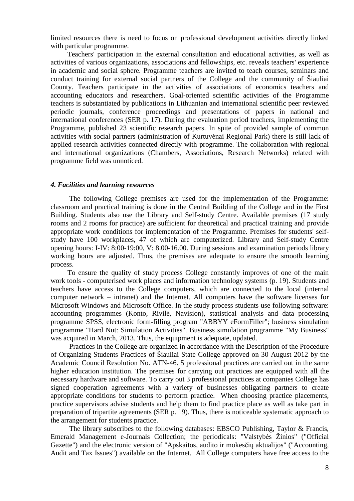limited resources there is need to focus on professional development activities directly linked with particular programme.

Teachers' participation in the external consultation and educational activities, as well as activities of various organizations, associations and fellowships, etc. reveals teachers' experience in academic and social sphere. Programme teachers are invited to teach courses, seminars and conduct training for external social partners of the College and the community of Šiauliai County. Teachers participate in the activities of associations of economics teachers and accounting educators and researchers. Goal-oriented scientific activities of the Programme teachers is substantiated by publications in Lithuanian and international scientific peer reviewed periodic journals, conference proceedings and presentations of papers in national and international conferences (SER p. 17). During the evaluation period teachers, implementing the Programme, published 23 scientific research papers. In spite of provided sample of common activities with social partners (administration of Kurtuvėnai Regional Park) there is still lack of applied research activities connected directly with programme. The collaboration with regional and international organizations (Chambers, Associations, Research Networks) related with programme field was unnoticed.

#### *4. Facilities and learning resources*

 The following College premises are used for the implementation of the Programme: classroom and practical training is done in the Central Building of the College and in the First Building. Students also use the Library and Self-study Centre. Available premises (17 study rooms and 2 rooms for practice) are sufficient for theoretical and practical training and provide appropriate work conditions for implementation of the Programme. Premises for students' selfstudy have 100 workplaces, 47 of which are computerized. Library and Self-study Centre opening hours: I-IV: 8:00-19:00, V: 8.00-16.00. During sessions and examination periods library working hours are adjusted. Thus, the premises are adequate to ensure the smooth learning process.

To ensure the quality of study process College constantly improves of one of the main work tools - computerised work places and information technology systems (p. 19). Students and teachers have access to the College computers, which are connected to the local (internal computer network – intranet) and the Internet. All computers have the software licenses for Microsoft Windows and Microsoft Office. In the study process students use following software: accounting programmes (Konto, Rivilė, Navision), statistical analysis and data processing programme SPSS, electronic form-filling program "ABBYY eFormFiller"; business simulation programme "Hard Nut: Simulation Activities". Business simulation programme "My Business" was acquired in March, 2013. Thus, the equipment is adequate, updated.

 Practices in the College are organized in accordance with the Description of the Procedure of Organizing Students Practices of Šiauliai State College approved on 30 August 2012 by the Academic Council Resolution No. ATN-46. 5 professional practices are carried out in the same higher education institution. The premises for carrying out practices are equipped with all the necessary hardware and software. To carry out 3 professional practices at companies College has signed cooperation agreements with a variety of businesses obligating partners to create appropriate conditions for students to perform practice. When choosing practice placements, practice supervisors advise students and help them to find practice place as well as take part in preparation of tripartite agreements (SER p. 19). Thus, there is noticeable systematic approach to the arrangement for students practice.

The library subscribes to the following databases: EBSCO Publishing, Taylor & Francis, Emerald Management e-Journals Collection; the periodicals: "Valstybės Žinios" ("Official Gazette") and the electronic version of "Apskaitos, audito ir mokesčių aktualijos" ("Accounting, Audit and Tax Issues") available on the Internet. All College computers have free access to the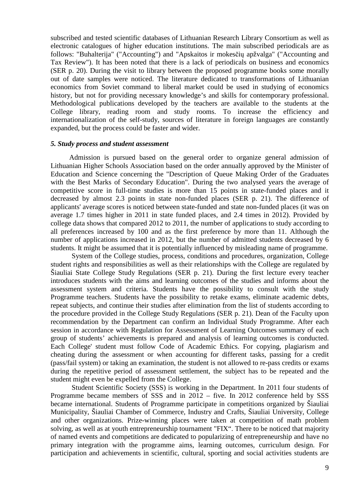subscribed and tested scientific databases of Lithuanian Research Library Consortium as well as electronic catalogues of higher education institutions. The main subscribed periodicals are as follows: "Buhalterija" ("Accounting") and "Apskaitos ir mokesčių apžvalga" ("Accounting and Tax Review"). It has been noted that there is a lack of periodicals on business and economics (SER p. 20). During the visit to library between the proposed programme books some morally out of date samples were noticed. The literature dedicated to transformations of Lithuanian economics from Soviet command to liberal market could be used in studying of economics history, but not for providing necessary knowledge's and skills for contemporary professional. Methodological publications developed by the teachers are available to the students at the College library, reading room and study rooms. To increase the efficiency and internationalization of the self-study, sources of literature in foreign languages are constantly expanded, but the process could be faster and wider.

#### *5. Study process and student assessment*

Admission is pursued based on the general order to organize general admission of Lithuanian Higher Schools Association based on the order annually approved by the Minister of Education and Science concerning the "Description of Queue Making Order of the Graduates with the Best Marks of Secondary Education". During the two analysed years the average of competitive score in full-time studies is more than 15 points in state-funded places and it decreased by almost 2.3 points in state non-funded places (SER p. 21). The difference of applicants' average scores is noticed between state-funded and state non-funded places (it was on average 1.7 times higher in 2011 in state funded places, and 2.4 times in 2012). Provided by college data shows that compared 2012 to 2011, the number of applications to study according to all preferences increased by 100 and as the first preference by more than 11. Although the number of applications increased in 2012, but the number of admitted students decreased by 6 students. It might be assumed that it is potentially influenced by misleading name of programme.

System of the College studies, process, conditions and procedures, organization, College student rights and responsibilities as well as their relationships with the College are regulated by Šiauliai State College Study Regulations (SER p. 21). During the first lecture every teacher introduces students with the aims and learning outcomes of the studies and informs about the assessment system and criteria. Students have the possibility to consult with the study Programme teachers. Students have the possibility to retake exams, eliminate academic debts, repeat subjects, and continue their studies after elimination from the list of students according to the procedure provided in the College Study Regulations (SER p. 21). Dean of the Faculty upon recommendation by the Department can confirm an Individual Study Programme. After each session in accordance with Regulation for Assessment of Learning Outcomes summary of each group of students' achievements is prepared and analysis of learning outcomes is conducted. Each College' student must follow Code of Academic Ethics. For copying, plagiarism and cheating during the assessment or when accounting for different tasks, passing for a credit (pass/fail system) or taking an examination, the student is not allowed to re-pass credits or exams during the repetitive period of assessment settlement, the subject has to be repeated and the student might even be expelled from the College.

Student Scientific Society (SSS) is working in the Department. In 2011 four students of Programme became members of SSS and in 2012 – five. In 2012 conference held by SSS became international. Students of Programme participate in competitions organized by Šiauliai Municipality, Šiauliai Chamber of Commerce, Industry and Crafts, Šiauliai University, College and other organizations. Prize-winning places were taken at competition of math problem solving, as well as at youth entrepreneurship tournament "FIX". There to be noticed that majority of named events and competitions are dedicated to popularizing of entrepreneurship and have no primary integration with the programme aims, learning outcomes, curriculum design. For participation and achievements in scientific, cultural, sporting and social activities students are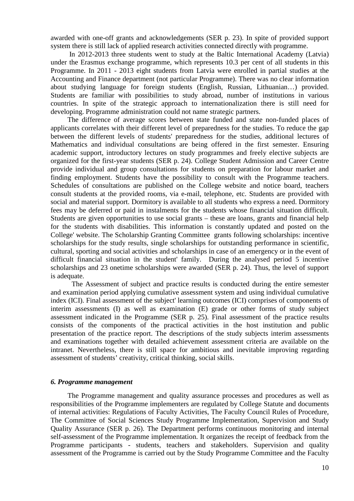awarded with one-off grants and acknowledgements (SER p. 23). In spite of provided support system there is still lack of applied research activities connected directly with programme.

 In 2012-2013 three students went to study at the Baltic International Academy (Latvia) under the Erasmus exchange programme, which represents 10.3 per cent of all students in this Programme. In 2011 - 2013 eight students from Latvia were enrolled in partial studies at the Accounting and Finance department (not particular Programme). There was no clear information about studying language for foreign students (English, Russian, Lithuanian…) provided. Students are familiar with possibilities to study abroad, number of institutions in various countries. In spite of the strategic approach to internationalization there is still need for developing. Programme administration could not name strategic partners.

The difference of average scores between state funded and state non-funded places of applicants correlates with their different level of preparedness for the studies. To reduce the gap between the different levels of students' preparedness for the studies, additional lectures of Mathematics and individual consultations are being offered in the first semester. Ensuring academic support, introductory lectures on study programmes and freely elective subjects are organized for the first-year students (SER p. 24). College Student Admission and Career Centre provide individual and group consultations for students on preparation for labour market and finding employment. Students have the possibility to consult with the Programme teachers. Schedules of consultations are published on the College website and notice board, teachers consult students at the provided rooms, via e-mail, telephone, etc. Students are provided with social and material support. Dormitory is available to all students who express a need. Dormitory fees may be deferred or paid in instalments for the students whose financial situation difficult. Students are given opportunities to use social grants – these are loans, grants and financial help for the students with disabilities. This information is constantly updated and posted on the College' website. The Scholarship Granting Committee grants following scholarships: incentive scholarships for the study results, single scholarships for outstanding performance in scientific, cultural, sporting and social activities and scholarships in case of an emergency or in the event of difficult financial situation in the student' family. During the analysed period 5 incentive scholarships and 23 onetime scholarships were awarded (SER p. 24). Thus, the level of support is adequate.

The Assessment of subject and practice results is conducted during the entire semester and examination period applying cumulative assessment system and using individual cumulative index (ICI). Final assessment of the subject' learning outcomes (ICI) comprises of components of interim assessments (I) as well as examination (E) grade or other forms of study subject assessment indicated in the Programme (SER p. 25). Final assessment of the practice results consists of the components of the practical activities in the host institution and public presentation of the practice report. The descriptions of the study subjects interim assessments and examinations together with detailed achievement assessment criteria are available on the intranet. Nevertheless, there is still space for ambitious and inevitable improving regarding assessment of students' creativity, critical thinking, social skills.

#### *6. Programme management*

The Programme management and quality assurance processes and procedures as well as responsibilities of the Programme implementers are regulated by College Statute and documents of internal activities: Regulations of Faculty Activities, The Faculty Council Rules of Procedure, The Committee of Social Sciences Study Programme Implementation, Supervision and Study Quality Assurance (SER p. 26). The Department performs continuous monitoring and internal self-assessment of the Programme implementation. It organizes the receipt of feedback from the Programme participants - students, teachers and stakeholders. Supervision and quality assessment of the Programme is carried out by the Study Programme Committee and the Faculty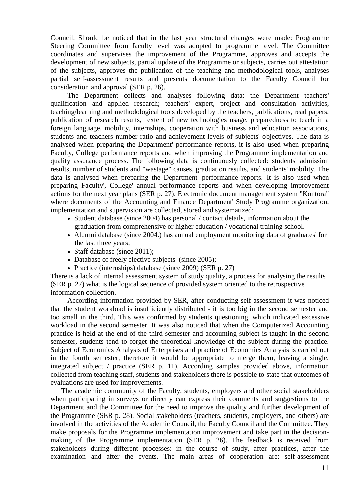Council. Should be noticed that in the last year structural changes were made: Programme Steering Committee from faculty level was adopted to programme level. The Committee coordinates and supervises the improvement of the Programme, approves and accepts the development of new subjects, partial update of the Programme or subjects, carries out attestation of the subjects, approves the publication of the teaching and methodological tools, analyses partial self-assessment results and presents documentation to the Faculty Council for consideration and approval (SER p. 26).

The Department collects and analyses following data: the Department teachers' qualification and applied research; teachers' expert, project and consultation activities, teaching/learning and methodological tools developed by the teachers, publications, read papers, publication of research results, extent of new technologies usage, preparedness to teach in a foreign language, mobility, internships, cooperation with business and education associations, students and teachers number ratio and achievement levels of subjects' objectives. The data is analysed when preparing the Department' performance reports, it is also used when preparing Faculty, College performance reports and when improving the Programme implementation and quality assurance process. The following data is continuously collected: students' admission results, number of students and "wastage" causes, graduation results, and students' mobility. The data is analysed when preparing the Department' performance reports. It is also used when preparing Faculty', College' annual performance reports and when developing improvement actions for the next year plans (SER p. 27). Electronic document management system "Kontora" where documents of the Accounting and Finance Department' Study Programme organization, implementation and supervision are collected, stored and systematized;

- Student database (since 2004) has personal / contact details, information about the graduation from comprehensive or higher education / vocational training school.
- Alumni database (since 2004.) has annual employment monitoring data of graduates' for the last three years;
- Staff database (since 2011):
- Database of freely elective subjects (since 2005);
- Practice (internships) database (since 2009) (SER p. 27)

There is a lack of internal assessment system of study quality, a process for analysing the results (SER p. 27) what is the logical sequence of provided system oriented to the retrospective information collection.

 According information provided by SER, after conducting self-assessment it was noticed that the student workload is insufficiently distributed - it is too big in the second semester and too small in the third. This was confirmed by students questioning, which indicated excessive workload in the second semester. It was also noticed that when the Computerized Accounting practice is held at the end of the third semester and accounting subject is taught in the second semester, students tend to forget the theoretical knowledge of the subject during the practice. Subject of Economics Analysis of Enterprises and practice of Economics Analysis is carried out in the fourth semester, therefore it would be appropriate to merge them, leaving a single, integrated subject / practice (SER p. 11). According samples provided above, information collected from teaching staff, students and stakeholders there is possible to state that outcomes of evaluations are used for improvements.

The academic community of the Faculty, students, employers and other social stakeholders when participating in surveys or directly can express their comments and suggestions to the Department and the Committee for the need to improve the quality and further development of the Programme (SER p. 28). Social stakeholders (teachers, students, employers, and others) are involved in the activities of the Academic Council, the Faculty Council and the Committee. They make proposals for the Programme implementation improvement and take part in the decisionmaking of the Programme implementation (SER p. 26). The feedback is received from stakeholders during different processes: in the course of study, after practices, after the examination and after the events. The main areas of cooperation are: self-assessment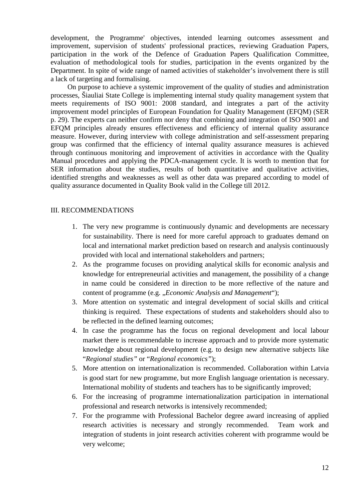development, the Programme' objectives, intended learning outcomes assessment and improvement, supervision of students' professional practices, reviewing Graduation Papers, participation in the work of the Defence of Graduation Papers Qualification Committee, evaluation of methodological tools for studies, participation in the events organized by the Department. In spite of wide range of named activities of stakeholder's involvement there is still a lack of targeting and formalising.

On purpose to achieve a systemic improvement of the quality of studies and administration processes, Šiauliai State College is implementing internal study quality management system that meets requirements of ISO 9001: 2008 standard, and integrates a part of the activity improvement model principles of European Foundation for Quality Management (EFQM) (SER p. 29). The experts can neither confirm nor deny that combining and integration of ISO 9001 and EFQM principles already ensures effectiveness and efficiency of internal quality assurance measure. However, during interview with college administration and self-assessment preparing group was confirmed that the efficiency of internal quality assurance measures is achieved through continuous monitoring and improvement of activities in accordance with the Quality Manual procedures and applying the PDCA-management cycle. It is worth to mention that for SER information about the studies, results of both quantitative and qualitative activities, identified strengths and weaknesses as well as other data was prepared according to model of quality assurance documented in Quality Book valid in the College till 2012.

#### III. RECOMMENDATIONS

- 1. The very new programme is continuously dynamic and developments are necessary for sustainability. There is need for more careful approach to graduates demand on local and international market prediction based on research and analysis continuously provided with local and international stakeholders and partners;
- 2. As the programme focuses on providing analytical skills for economic analysis and knowledge for entrepreneurial activities and management, the possibility of a change in name could be considered in direction to be more reflective of the nature and content of programme (e.g. "*Economic Analysis and Management*");
- 3. More attention on systematic and integral development of social skills and critical thinking is required. These expectations of students and stakeholders should also to be reflected in the defined learning outcomes;
- 4. In case the programme has the focus on regional development and local labour market there is recommendable to increase approach and to provide more systematic knowledge about regional development (e.g. to design new alternative subjects like "*Regional studies"* or "*Regional economics"*);
- 5. More attention on internationalization is recommended. Collaboration within Latvia is good start for new programme, but more English language orientation is necessary. International mobility of students and teachers has to be significantly improved;
- 6. For the increasing of programme internationalization participation in international professional and research networks is intensively recommended;
- 7. For the programme with Professional Bachelor degree award increasing of applied research activities is necessary and strongly recommended. Team work and integration of students in joint research activities coherent with programme would be very welcome;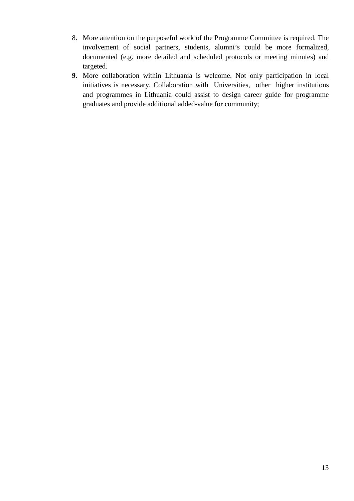- 8. More attention on the purposeful work of the Programme Committee is required. The involvement of social partners, students, alumni's could be more formalized, documented (e.g. more detailed and scheduled protocols or meeting minutes) and targeted.
- **9.** More collaboration within Lithuania is welcome. Not only participation in local initiatives is necessary. Collaboration with Universities, other higher institutions and programmes in Lithuania could assist to design career guide for programme graduates and provide additional added-value for community;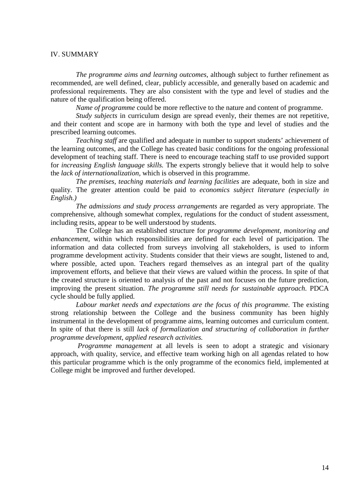#### IV. SUMMARY

*The programme aims and learning outcomes*, although subject to further refinement as recommended, are well defined, clear, publicly accessible, and generally based on academic and professional requirements. They are also consistent with the type and level of studies and the nature of the qualification being offered.

*Name of programme* could be more reflective to the nature and content of programme.

*Study subjects* in curriculum design are spread evenly, their themes are not repetitive, and their content and scope are in harmony with both the type and level of studies and the prescribed learning outcomes.

*Teaching staff* are qualified and adequate in number to support students' achievement of the learning outcomes, and the College has created basic conditions for the ongoing professional development of teaching staff. There is need to encourage teaching staff to use provided support for *increasing English language skills.* The experts strongly believe that it would help to solve the *lack of internationalization,* which is observed in this programme.

*The premises, teaching materials and learning facilities* are adequate, both in size and quality. The greater attention could be paid to *economics subject literature (especially in English.)* 

*The admissions and study process arrangements* are regarded as very appropriate. The comprehensive, although somewhat complex, regulations for the conduct of student assessment, including resits, appear to be well understood by students.

The College has an established structure for *programme development, monitoring and enhancement*, within which responsibilities are defined for each level of participation. The information and data collected from surveys involving all stakeholders, is used to inform programme development activity. Students consider that their views are sought, listened to and, where possible, acted upon. Teachers regard themselves as an integral part of the quality improvement efforts, and believe that their views are valued within the process. In spite of that the created structure is oriented to analysis of the past and not focuses on the future prediction, improving the present situation. *The programme still needs for sustainable approach*. PDCA cycle should be fully applied.

*Labour market needs and expectations are the focus of this programme.* The existing strong relationship between the College and the business community has been highly instrumental in the development of programme aims, learning outcomes and curriculum content. In spite of that there is still *lack of formalization and structuring of collaboration in further programme development, applied research activities.*

*Programme management* at all levels is seen to adopt a strategic and visionary approach, with quality, service, and effective team working high on all agendas related to how this particular programme which is the only programme of the economics field, implemented at College might be improved and further developed.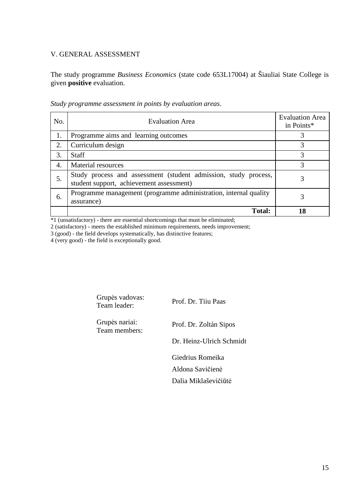## V. GENERAL ASSESSMENT

The study programme *Business Economics* (state code 653L17004) at Šiauliai State College is given **positive** evaluation.

| No. | <b>Evaluation Area</b>                                                                                      | <b>Evaluation Area</b><br>in Points* |
|-----|-------------------------------------------------------------------------------------------------------------|--------------------------------------|
| 1.  | Programme aims and learning outcomes                                                                        | 3                                    |
| 2.  | Curriculum design                                                                                           | 3                                    |
| 3.  | <b>Staff</b>                                                                                                |                                      |
| 4.  | Material resources                                                                                          | 3                                    |
| 5.  | Study process and assessment (student admission, study process,<br>student support, achievement assessment) | 3                                    |
| 6.  | Programme management (programme administration, internal quality<br>assurance)                              | 3                                    |
|     | <b>Total:</b>                                                                                               | 18                                   |

*Study programme assessment in points by evaluation areas*.

\*1 (unsatisfactory) - there are essential shortcomings that must be eliminated;

2 (satisfactory) - meets the established minimum requirements, needs improvement;

3 (good) - the field develops systematically, has distinctive features;

4 (very good) - the field is exceptionally good.

| Grupės vadovas:<br>Team leader: | Prof. Dr. Tiju Paas      |
|---------------------------------|--------------------------|
| Grupės nariai:<br>Team members: | Prof. Dr. Zoltán Sipos   |
|                                 | Dr. Heinz-Ulrich Schmidt |
|                                 | Giedrius Romeika         |
|                                 | Aldona Savičienė         |
|                                 | Dalia Miklaševičiūtė     |
|                                 |                          |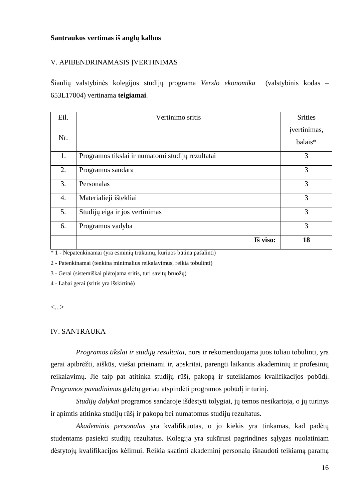#### **Santraukos vertimas iš anglų kalbos**

#### V. APIBENDRINAMASIS ĮVERTINIMAS

Šiaulių valstybinės kolegijos studijų programa *Verslo ekonomika* (valstybinis kodas – 653L17004) vertinama **teigiamai**.

| Eil. | Vertinimo sritis                                 | <b>Srities</b> |
|------|--------------------------------------------------|----------------|
| Nr.  |                                                  | jvertinimas,   |
|      |                                                  | balais*        |
| 1.   | Programos tikslai ir numatomi studijų rezultatai | 3              |
| 2.   | Programos sandara                                | 3              |
| 3.   | Personalas                                       | 3              |
| 4.   | Materialieji ištekliai                           | 3              |
| 5.   | Studijų eiga ir jos vertinimas                   | 3              |
| 6.   | Programos vadyba                                 | 3              |
|      | Iš viso:                                         | 18             |

\* 1 - Nepatenkinamai (yra esminių trūkumų, kuriuos būtina pašalinti)

2 - Patenkinamai (tenkina minimalius reikalavimus, reikia tobulinti)

3 - Gerai (sistemiškai plėtojama sritis, turi savitų bruožų)

4 - Labai gerai (sritis yra išskirtinė)

<...>

#### IV. SANTRAUKA

*Programos tikslai ir studijų rezultatai,* nors ir rekomenduojama juos toliau tobulinti, yra gerai apibrėžti, aiškūs, viešai prieinami ir, apskritai, parengti laikantis akademinių ir profesinių reikalavimų. Jie taip pat atitinka studijų rūšį, pakopą ir suteikiamos kvalifikacijos pobūdį. *Programos pavadinimas* galėtų geriau atspindėti programos pobūdį ir turinį.

*Studijų dalykai* programos sandaroje išdėstyti tolygiai, jų temos nesikartoja, o jų turinys ir apimtis atitinka studijų rūšį ir pakopą bei numatomus studijų rezultatus.

*Akademinis personalas* yra kvalifikuotas, o jo kiekis yra tinkamas, kad padėtų studentams pasiekti studijų rezultatus. Kolegija yra sukūrusi pagrindines sąlygas nuolatiniam dėstytojų kvalifikacijos kėlimui. Reikia skatinti akademinį personalą išnaudoti teikiamą paramą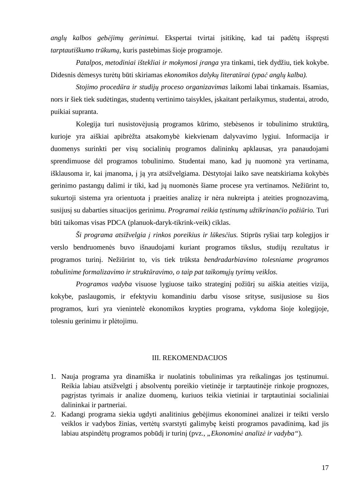*anglų kalbos gebėjimų gerinimui.* Ekspertai tvirtai įsitikinę, kad tai padėtų išspręsti *tarptautiškumo trūkumą,* kuris pastebimas šioje programoje.

*Patalpos, metodiniai ištekliai ir mokymosi įranga* yra tinkami, tiek dydžiu, tiek kokybe. Didesnis dėmesys turėtų būti skiriamas *ekonomikos dalykų literatūrai (ypač anglų kalba).* 

*Stojimo procedūra ir studijų proceso organizavimas* laikomi labai tinkamais. Išsamias, nors ir šiek tiek sudėtingas, studentų vertinimo taisykles, įskaitant perlaikymus, studentai, atrodo, puikiai supranta.

Kolegija turi nusistovėjusią programos kūrimo, stebėsenos ir tobulinimo struktūrą, kurioje yra aiškiai apibrėžta atsakomybė kiekvienam dalyvavimo lygiui. Informacija ir duomenys surinkti per visų socialinių programos dalininkų apklausas, yra panaudojami sprendimuose dėl programos tobulinimo. Studentai mano, kad jų nuomonė yra vertinama, išklausoma ir, kai įmanoma, į ją yra atsižvelgiama. Dėstytojai laiko save neatskiriama kokybės gerinimo pastangų dalimi ir tiki, kad jų nuomonės šiame procese yra vertinamos. Nežiūrint to, sukurtoji sistema yra orientuota į praeities analizę ir nėra nukreipta į ateities prognozavimą, susijusį su dabarties situacijos gerinimu. *Programai reikia tęstinumą užtikrinančio požiūrio.* Turi būti taikomas visas PDCA (planuok-daryk-tikrink-veik) ciklas.

*Ši programa atsižvelgia į rinkos poreikius ir lūkesčius.* Stiprūs ryšiai tarp kolegijos ir verslo bendruomenės buvo išnaudojami kuriant programos tikslus, studijų rezultatus ir programos turinį. Nežiūrint to, vis tiek trūksta *bendradarbiavimo tolesniame programos tobulinime formalizavimo ir struktūravimo, o taip pat taikomųjų tyrimų veiklos.* 

*Programos vadyba* visuose lygiuose taiko strateginį požiūrį su aiškia ateities vizija, kokybe, paslaugomis, ir efektyviu komandiniu darbu visose srityse, susijusiose su šios programos, kuri yra vienintelė ekonomikos krypties programa, vykdoma šioje kolegijoje, tolesniu gerinimu ir plėtojimu.

#### III. REKOMENDACIJOS

- 1. Nauja programa yra dinamiška ir nuolatinis tobulinimas yra reikalingas jos tęstinumui. Reikia labiau atsižvelgti į absolventų poreikio vietinėje ir tarptautinėje rinkoje prognozes, pagrįstas tyrimais ir analize duomenų, kuriuos teikia vietiniai ir tarptautiniai socialiniai dalininkai ir partneriai.
- 2. Kadangi programa siekia ugdyti analitinius gebėjimus ekonominei analizei ir teikti verslo veiklos ir vadybos žinias, vertėtų svarstyti galimybę keisti programos pavadinimą, kad jis labiau atspindėtų programos pobūdį ir turinį (pvz., *"Ekonominė analizė ir vadyba"*).